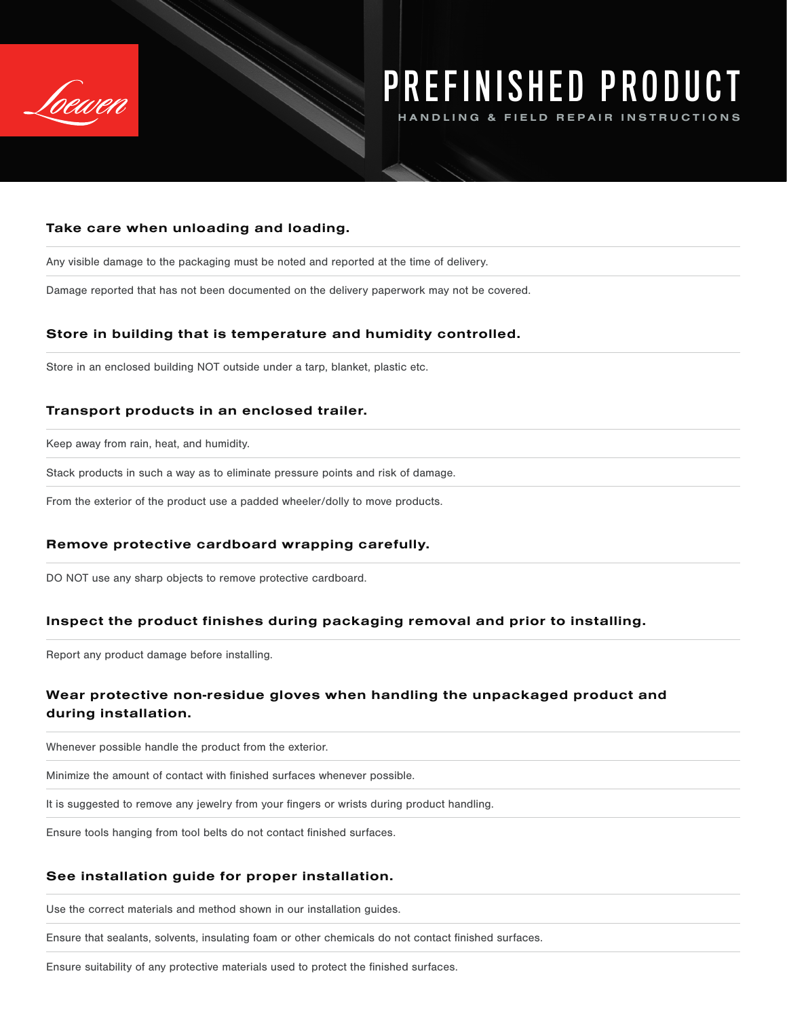

# PREFINISHED PRODUCT

NDLING &

## Take care when unloading and loading.

Any visible damage to the packaging must be noted and reported at the time of delivery.

Damage reported that has not been documented on the delivery paperwork may not be covered.

## Store in building that is temperature and humidity controlled.

Store in an enclosed building NOT outside under a tarp, blanket, plastic etc.

## Transport products in an enclosed trailer.

Keep away from rain, heat, and humidity.

Stack products in such a way as to eliminate pressure points and risk of damage.

From the exterior of the product use a padded wheeler/dolly to move products.

# Remove protective cardboard wrapping carefully.

DO NOT use any sharp objects to remove protective cardboard.

### Inspect the product finishes during packaging removal and prior to installing.

Report any product damage before installing.

# Wear protective non-residue gloves when handling the unpackaged product and during installation.

Whenever possible handle the product from the exterior.

Minimize the amount of contact with finished surfaces whenever possible.

It is suggested to remove any jewelry from your fingers or wrists during product handling.

Ensure tools hanging from tool belts do not contact finished surfaces.

### See installation guide for proper installation.

Use the correct materials and method shown in our installation guides.

Ensure that sealants, solvents, insulating foam or other chemicals do not contact finished surfaces.

Ensure suitability of any protective materials used to protect the finished surfaces.